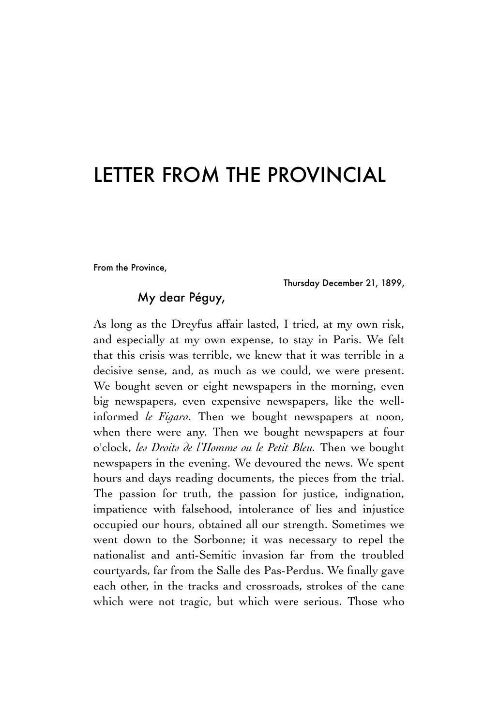## LETTER FROM THE PROVINCIAL

From the Province,

Thursday December 21, 1899,

## My dear Péguy,

As long as the Dreyfus affair lasted, I tried, at my own risk, and especially at my own expense, to stay in Paris. We felt that this crisis was terrible, we knew that it was terrible in a decisive sense, and, as much as we could, we were present. We bought seven or eight newspapers in the morning, even big newspapers, even expensive newspapers, like the wellinformed *le Figaro*. Then we bought newspapers at noon, when there were any. Then we bought newspapers at four o'clock, *les Droits de l'Homme ou le Petit Bleu.* Then we bought newspapers in the evening. We devoured the news. We spent hours and days reading documents, the pieces from the trial. The passion for truth, the passion for justice, indignation, impatience with falsehood, intolerance of lies and injustice occupied our hours, obtained all our strength. Sometimes we went down to the Sorbonne; it was necessary to repel the nationalist and anti-Semitic invasion far from the troubled courtyards, far from the Salle des Pas-Perdus. We finally gave each other, in the tracks and crossroads, strokes of the cane which were not tragic, but which were serious. Those who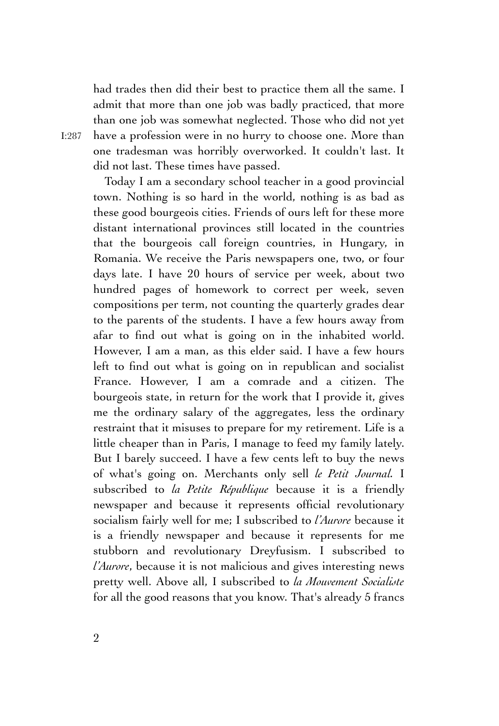had trades then did their best to practice them all the same. I admit that more than one job was badly practiced, that more than one job was somewhat neglected. Those who did not yet have a profession were in no hurry to choose one. More than one tradesman was horribly overworked. It couldn't last. It did not last. These times have passed.

Today I am a secondary school teacher in a good provincial town. Nothing is so hard in the world, nothing is as bad as these good bourgeois cities. Friends of ours left for these more distant international provinces still located in the countries that the bourgeois call foreign countries, in Hungary, in Romania. We receive the Paris newspapers one, two, or four days late. I have 20 hours of service per week, about two hundred pages of homework to correct per week, seven compositions per term, not counting the quarterly grades dear to the parents of the students. I have a few hours away from afar to find out what is going on in the inhabited world. However, I am a man, as this elder said. I have a few hours left to find out what is going on in republican and socialist France. However, I am a comrade and a citizen. The bourgeois state, in return for the work that I provide it, gives me the ordinary salary of the aggregates, less the ordinary restraint that it misuses to prepare for my retirement. Life is a little cheaper than in Paris, I manage to feed my family lately. But I barely succeed. I have a few cents left to buy the news of what's going on. Merchants only sell *le Petit Journal.* I subscribed to *la Petite République* because it is a friendly newspaper and because it represents official revolutionary socialism fairly well for me; I subscribed to *l'Aurore* because it is a friendly newspaper and because it represents for me stubborn and revolutionary Dreyfusism. I subscribed to *l'Aurore*, because it is not malicious and gives interesting news pretty well. Above all, I subscribed to *la Mouvement Socialiste* for all the good reasons that you know. That's already 5 francs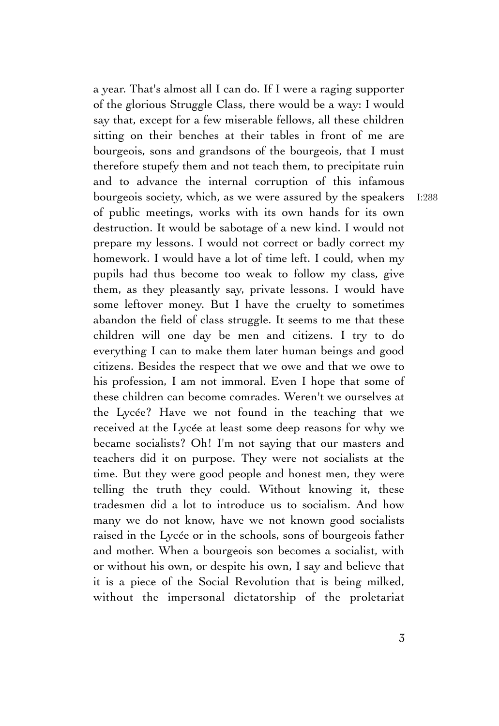a year. That's almost all I can do. If I were a raging supporter of the glorious Struggle Class, there would be a way: I would say that, except for a few miserable fellows, all these children sitting on their benches at their tables in front of me are bourgeois, sons and grandsons of the bourgeois, that I must therefore stupefy them and not teach them, to precipitate ruin and to advance the internal corruption of this infamous bourgeois society, which, as we were assured by the speakers of public meetings, works with its own hands for its own destruction. It would be sabotage of a new kind. I would not prepare my lessons. I would not correct or badly correct my homework. I would have a lot of time left. I could, when my pupils had thus become too weak to follow my class, give them, as they pleasantly say, private lessons. I would have some leftover money. But I have the cruelty to sometimes abandon the field of class struggle. It seems to me that these children will one day be men and citizens. I try to do everything I can to make them later human beings and good citizens. Besides the respect that we owe and that we owe to his profession, I am not immoral. Even I hope that some of these children can become comrades. Weren't we ourselves at the Lycée? Have we not found in the teaching that we received at the Lycée at least some deep reasons for why we became socialists? Oh! I'm not saying that our masters and teachers did it on purpose. They were not socialists at the time. But they were good people and honest men, they were telling the truth they could. Without knowing it, these tradesmen did a lot to introduce us to socialism. And how many we do not know, have we not known good socialists raised in the Lycée or in the schools, sons of bourgeois father and mother. When a bourgeois son becomes a socialist, with or without his own, or despite his own, I say and believe that it is a piece of the Social Revolution that is being milked, without the impersonal dictatorship of the proletariat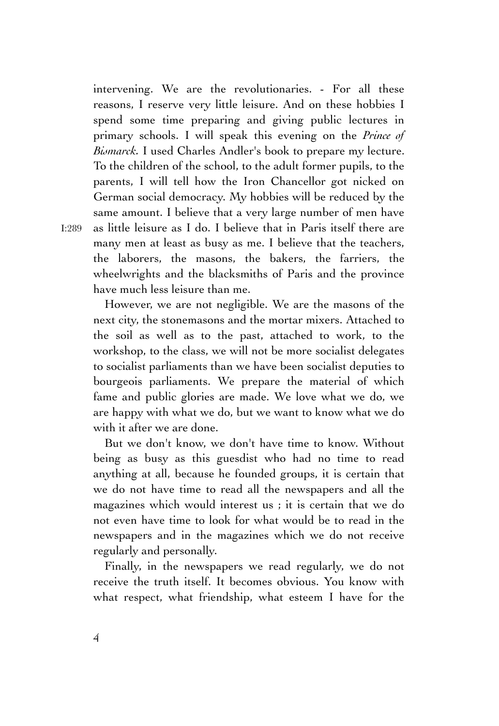intervening. We are the revolutionaries. - For all these reasons, I reserve very little leisure. And on these hobbies I spend some time preparing and giving public lectures in primary schools. I will speak this evening on the *Prince of Bismarck.* I used Charles Andler's book to prepare my lecture. To the children of the school, to the adult former pupils, to the parents, I will tell how the Iron Chancellor got nicked on German social democracy. My hobbies will be reduced by the same amount. I believe that a very large number of men have as little leisure as I do. I believe that in Paris itself there are many men at least as busy as me. I believe that the teachers, the laborers, the masons, the bakers, the farriers, the wheelwrights and the blacksmiths of Paris and the province have much less leisure than me.

However, we are not negligible. We are the masons of the next city, the stonemasons and the mortar mixers. Attached to the soil as well as to the past, attached to work, to the workshop, to the class, we will not be more socialist delegates to socialist parliaments than we have been socialist deputies to bourgeois parliaments. We prepare the material of which fame and public glories are made. We love what we do, we are happy with what we do, but we want to know what we do with it after we are done.

But we don't know, we don't have time to know. Without being as busy as this guesdist who had no time to read anything at all, because he founded groups, it is certain that we do not have time to read all the newspapers and all the magazines which would interest us ; it is certain that we do not even have time to look for what would be to read in the newspapers and in the magazines which we do not receive regularly and personally.

Finally, in the newspapers we read regularly, we do not receive the truth itself. It becomes obvious. You know with what respect, what friendship, what esteem I have for the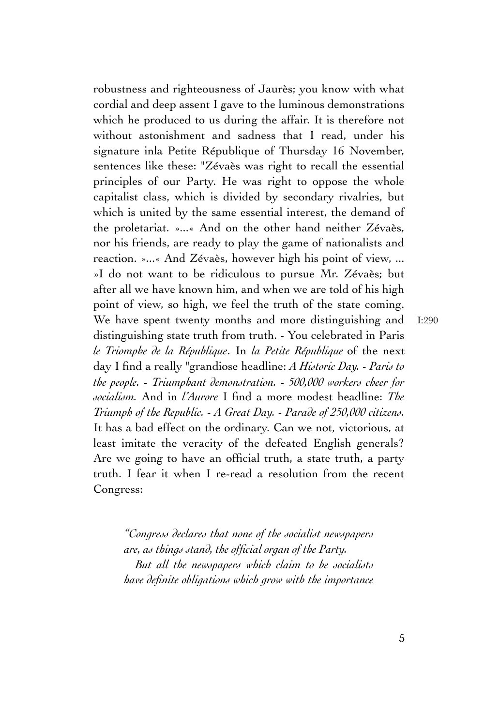robustness and righteousness of Jaurès; you know with what cordial and deep assent I gave to the luminous demonstrations which he produced to us during the affair. It is therefore not without astonishment and sadness that I read, under his signature inla Petite République of Thursday 16 November, sentences like these: "Zévaès was right to recall the essential principles of our Party. He was right to oppose the whole capitalist class, which is divided by secondary rivalries, but which is united by the same essential interest, the demand of the proletariat. »...« And on the other hand neither Zévaès, nor his friends, are ready to play the game of nationalists and reaction. »...« And Zévaès, however high his point of view, ... »I do not want to be ridiculous to pursue Mr. Zévaès; but after all we have known him, and when we are told of his high point of view, so high, we feel the truth of the state coming. We have spent twenty months and more distinguishing and distinguishing state truth from truth. - You celebrated in Paris *le Triomphe de la République*. In *la Petite République* of the next day I find a really "grandiose headline: *A Historic Day. - Paris to the people. - Triumphant demonstration. - 500,000 workers cheer for socialism.* And in *l'Aurore* I find a more modest headline: *The Triumph of the Republic. - A Great Day. - Parade of 250,000 citizens.* It has a bad effect on the ordinary. Can we not, victorious, at least imitate the veracity of the defeated English generals? Are we going to have an official truth, a state truth, a party truth. I fear it when I re-read a resolution from the recent Congress: I:290

*"Congress declares that none of the socialist newspapers are, as things stand, the official organ of the Party. But all the newspapers which claim to be socialists have definite obligations which grow with the importance*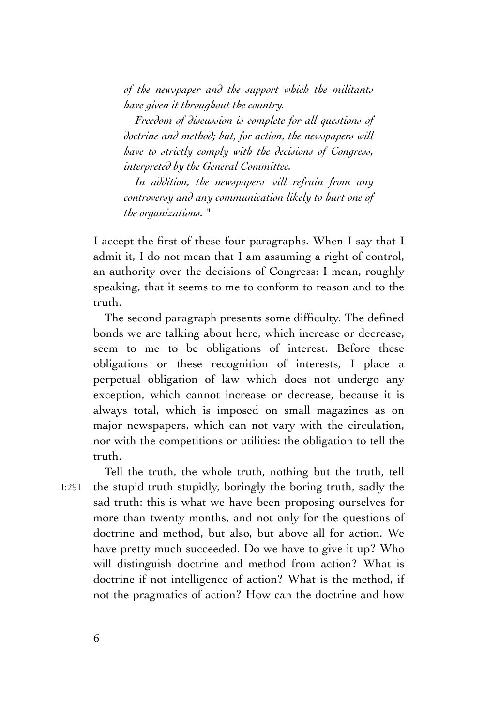*of the newspaper and the support which the militants have given it throughout the country.*

*Freedom of discussion is complete for all questions of doctrine and method; but, for action, the newspapers will have to strictly comply with the decisions of Congress, interpreted by the General Committee.*

*In addition, the newspapers will refrain from any controversy and any communication likely to hurt one of the organizations. "*

I accept the first of these four paragraphs. When I say that I admit it, I do not mean that I am assuming a right of control, an authority over the decisions of Congress: I mean, roughly speaking, that it seems to me to conform to reason and to the truth.

The second paragraph presents some difficulty. The defined bonds we are talking about here, which increase or decrease, seem to me to be obligations of interest. Before these obligations or these recognition of interests, I place a perpetual obligation of law which does not undergo any exception, which cannot increase or decrease, because it is always total, which is imposed on small magazines as on major newspapers, which can not vary with the circulation, nor with the competitions or utilities: the obligation to tell the truth.

I:291

Tell the truth, the whole truth, nothing but the truth, tell the stupid truth stupidly, boringly the boring truth, sadly the sad truth: this is what we have been proposing ourselves for more than twenty months, and not only for the questions of doctrine and method, but also, but above all for action. We have pretty much succeeded. Do we have to give it up? Who will distinguish doctrine and method from action? What is doctrine if not intelligence of action? What is the method, if not the pragmatics of action? How can the doctrine and how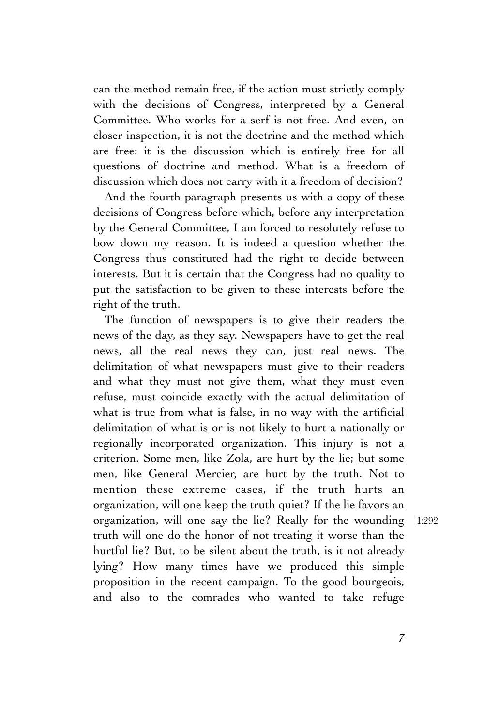can the method remain free, if the action must strictly comply with the decisions of Congress, interpreted by a General Committee. Who works for a serf is not free. And even, on closer inspection, it is not the doctrine and the method which are free: it is the discussion which is entirely free for all questions of doctrine and method. What is a freedom of discussion which does not carry with it a freedom of decision?

And the fourth paragraph presents us with a copy of these decisions of Congress before which, before any interpretation by the General Committee, I am forced to resolutely refuse to bow down my reason. It is indeed a question whether the Congress thus constituted had the right to decide between interests. But it is certain that the Congress had no quality to put the satisfaction to be given to these interests before the right of the truth.

The function of newspapers is to give their readers the news of the day, as they say. Newspapers have to get the real news, all the real news they can, just real news. The delimitation of what newspapers must give to their readers and what they must not give them, what they must even refuse, must coincide exactly with the actual delimitation of what is true from what is false, in no way with the artificial delimitation of what is or is not likely to hurt a nationally or regionally incorporated organization. This injury is not a criterion. Some men, like Zola, are hurt by the lie; but some men, like General Mercier, are hurt by the truth. Not to mention these extreme cases, if the truth hurts an organization, will one keep the truth quiet? If the lie favors an organization, will one say the lie? Really for the wounding truth will one do the honor of not treating it worse than the hurtful lie? But, to be silent about the truth, is it not already lying? How many times have we produced this simple proposition in the recent campaign. To the good bourgeois, and also to the comrades who wanted to take refuge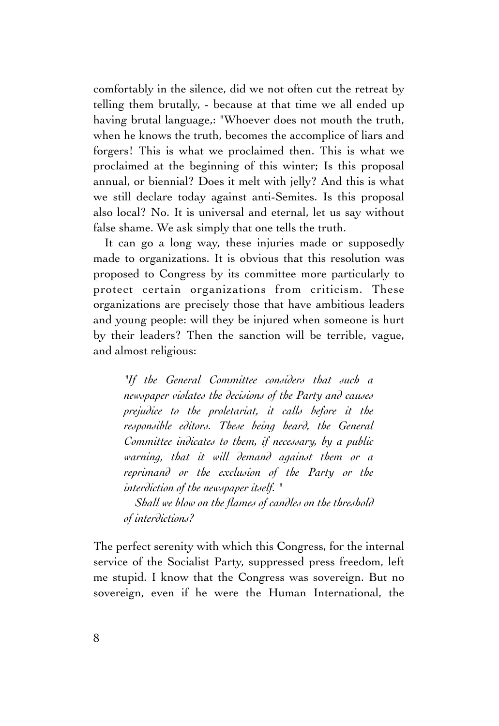comfortably in the silence, did we not often cut the retreat by telling them brutally, - because at that time we all ended up having brutal language,: "Whoever does not mouth the truth, when he knows the truth, becomes the accomplice of liars and forgers! This is what we proclaimed then. This is what we proclaimed at the beginning of this winter; Is this proposal annual, or biennial? Does it melt with jelly? And this is what we still declare today against anti-Semites. Is this proposal also local? No. It is universal and eternal, let us say without false shame. We ask simply that one tells the truth.

It can go a long way, these injuries made or supposedly made to organizations. It is obvious that this resolution was proposed to Congress by its committee more particularly to protect certain organizations from criticism. These organizations are precisely those that have ambitious leaders and young people: will they be injured when someone is hurt by their leaders? Then the sanction will be terrible, vague, and almost religious:

*"If the General Committee considers that such a newspaper violates the decisions of the Party and causes prejudice to the proletariat, it calls before it the responsible editors. These being heard, the General Committee indicates to them, if necessary, by a public warning, that it will demand against them or a reprimand or the exclusion of the Party or the interdiction of the newspaper itself. "*

*Shall we blow on the flames of candles on the threshold of interdictions?*

The perfect serenity with which this Congress, for the internal service of the Socialist Party, suppressed press freedom, left me stupid. I know that the Congress was sovereign. But no sovereign, even if he were the Human International, the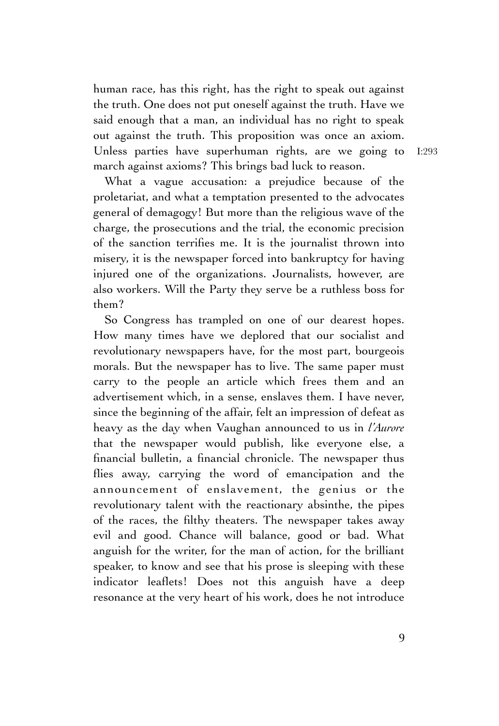human race, has this right, has the right to speak out against the truth. One does not put oneself against the truth. Have we said enough that a man, an individual has no right to speak out against the truth. This proposition was once an axiom. Unless parties have superhuman rights, are we going to march against axioms? This brings bad luck to reason.

What a vague accusation: a prejudice because of the proletariat, and what a temptation presented to the advocates general of demagogy! But more than the religious wave of the charge, the prosecutions and the trial, the economic precision of the sanction terrifies me. It is the journalist thrown into misery, it is the newspaper forced into bankruptcy for having injured one of the organizations. Journalists, however, are also workers. Will the Party they serve be a ruthless boss for them?

So Congress has trampled on one of our dearest hopes. How many times have we deplored that our socialist and revolutionary newspapers have, for the most part, bourgeois morals. But the newspaper has to live. The same paper must carry to the people an article which frees them and an advertisement which, in a sense, enslaves them. I have never, since the beginning of the affair, felt an impression of defeat as heavy as the day when Vaughan announced to us in *l'Aurore* that the newspaper would publish, like everyone else, a financial bulletin, a financial chronicle. The newspaper thus flies away, carrying the word of emancipation and the announcement of enslavement, the genius or the revolutionary talent with the reactionary absinthe, the pipes of the races, the filthy theaters. The newspaper takes away evil and good. Chance will balance, good or bad. What anguish for the writer, for the man of action, for the brilliant speaker, to know and see that his prose is sleeping with these indicator leaflets! Does not this anguish have a deep resonance at the very heart of his work, does he not introduce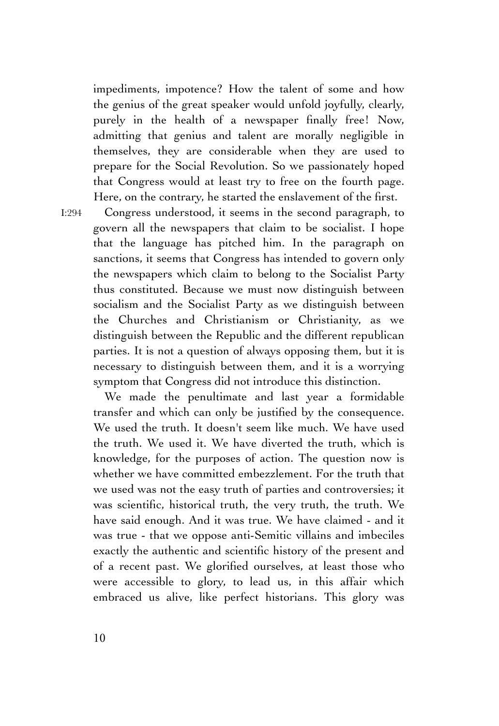impediments, impotence? How the talent of some and how the genius of the great speaker would unfold joyfully, clearly, purely in the health of a newspaper finally free! Now, admitting that genius and talent are morally negligible in themselves, they are considerable when they are used to prepare for the Social Revolution. So we passionately hoped that Congress would at least try to free on the fourth page. Here, on the contrary, he started the enslavement of the first.

I:294

Congress understood, it seems in the second paragraph, to govern all the newspapers that claim to be socialist. I hope that the language has pitched him. In the paragraph on sanctions, it seems that Congress has intended to govern only the newspapers which claim to belong to the Socialist Party thus constituted. Because we must now distinguish between socialism and the Socialist Party as we distinguish between the Churches and Christianism or Christianity, as we distinguish between the Republic and the different republican parties. It is not a question of always opposing them, but it is necessary to distinguish between them, and it is a worrying symptom that Congress did not introduce this distinction.

We made the penultimate and last year a formidable transfer and which can only be justified by the consequence. We used the truth. It doesn't seem like much. We have used the truth. We used it. We have diverted the truth, which is knowledge, for the purposes of action. The question now is whether we have committed embezzlement. For the truth that we used was not the easy truth of parties and controversies; it was scientific, historical truth, the very truth, the truth. We have said enough. And it was true. We have claimed - and it was true - that we oppose anti-Semitic villains and imbeciles exactly the authentic and scientific history of the present and of a recent past. We glorified ourselves, at least those who were accessible to glory, to lead us, in this affair which embraced us alive, like perfect historians. This glory was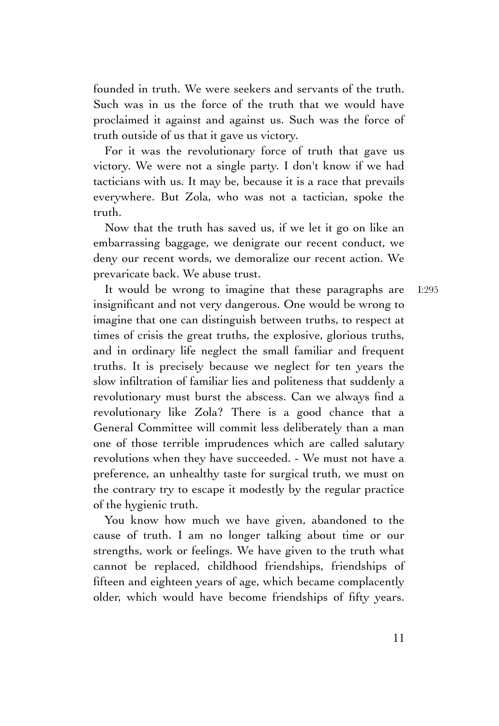founded in truth. We were seekers and servants of the truth. Such was in us the force of the truth that we would have proclaimed it against and against us. Such was the force of truth outside of us that it gave us victory.

For it was the revolutionary force of truth that gave us victory. We were not a single party. I don't know if we had tacticians with us. It may be, because it is a race that prevails everywhere. But Zola, who was not a tactician, spoke the truth.

Now that the truth has saved us, if we let it go on like an embarrassing baggage, we denigrate our recent conduct, we deny our recent words, we demoralize our recent action. We prevaricate back. We abuse trust.

It would be wrong to imagine that these paragraphs are insignificant and not very dangerous. One would be wrong to imagine that one can distinguish between truths, to respect at times of crisis the great truths, the explosive, glorious truths, and in ordinary life neglect the small familiar and frequent truths. It is precisely because we neglect for ten years the slow infiltration of familiar lies and politeness that suddenly a revolutionary must burst the abscess. Can we always find a revolutionary like Zola? There is a good chance that a General Committee will commit less deliberately than a man one of those terrible imprudences which are called salutary revolutions when they have succeeded. - We must not have a preference, an unhealthy taste for surgical truth, we must on the contrary try to escape it modestly by the regular practice of the hygienic truth. I:295

You know how much we have given, abandoned to the cause of truth. I am no longer talking about time or our strengths, work or feelings. We have given to the truth what cannot be replaced, childhood friendships, friendships of fifteen and eighteen years of age, which became complacently older, which would have become friendships of fifty years.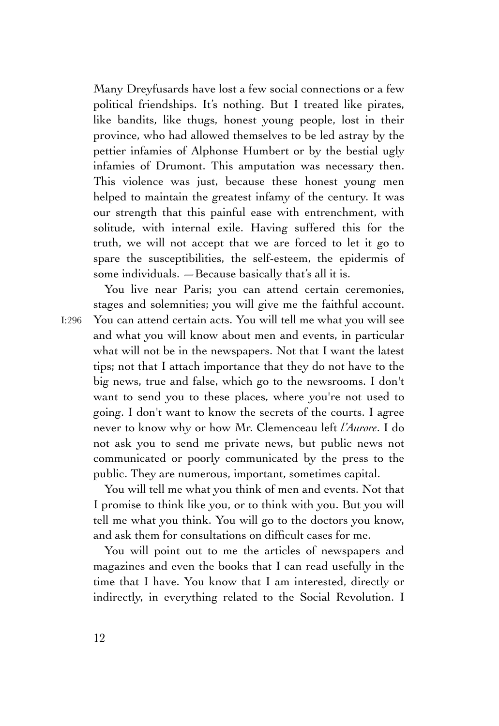Many Dreyfusards have lost a few social connections or a few political friendships. It's nothing. But I treated like pirates, like bandits, like thugs, honest young people, lost in their province, who had allowed themselves to be led astray by the pettier infamies of Alphonse Humbert or by the bestial ugly infamies of Drumont. This amputation was necessary then. This violence was just, because these honest young men helped to maintain the greatest infamy of the century. It was our strength that this painful ease with entrenchment, with solitude, with internal exile. Having suffered this for the truth, we will not accept that we are forced to let it go to spare the susceptibilities, the self-esteem, the epidermis of some individuals. —Because basically that's all it is.

You live near Paris; you can attend certain ceremonies, stages and solemnities; you will give me the faithful account. You can attend certain acts. You will tell me what you will see and what you will know about men and events, in particular what will not be in the newspapers. Not that I want the latest tips; not that I attach importance that they do not have to the big news, true and false, which go to the newsrooms. I don't want to send you to these places, where you're not used to going. I don't want to know the secrets of the courts. I agree never to know why or how Mr. Clemenceau left *l'Aurore*. I do not ask you to send me private news, but public news not communicated or poorly communicated by the press to the public. They are numerous, important, sometimes capital.

You will tell me what you think of men and events. Not that I promise to think like you, or to think with you. But you will tell me what you think. You will go to the doctors you know, and ask them for consultations on difficult cases for me.

You will point out to me the articles of newspapers and magazines and even the books that I can read usefully in the time that I have. You know that I am interested, directly or indirectly, in everything related to the Social Revolution. I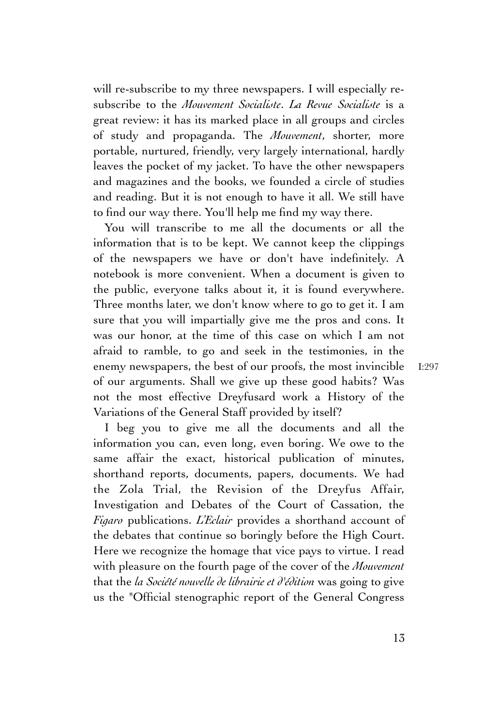will re-subscribe to my three newspapers. I will especially resubscribe to the *Mouvement Socialiste*. *La Revue Socialiste* is a great review: it has its marked place in all groups and circles of study and propaganda. The *Mouvement*, shorter, more portable, nurtured, friendly, very largely international, hardly leaves the pocket of my jacket. To have the other newspapers and magazines and the books, we founded a circle of studies and reading. But it is not enough to have it all. We still have to find our way there. You'll help me find my way there.

You will transcribe to me all the documents or all the information that is to be kept. We cannot keep the clippings of the newspapers we have or don't have indefinitely. A notebook is more convenient. When a document is given to the public, everyone talks about it, it is found everywhere. Three months later, we don't know where to go to get it. I am sure that you will impartially give me the pros and cons. It was our honor, at the time of this case on which I am not afraid to ramble, to go and seek in the testimonies, in the enemy newspapers, the best of our proofs, the most invincible of our arguments. Shall we give up these good habits? Was not the most effective Dreyfusard work a History of the Variations of the General Staff provided by itself?

I beg you to give me all the documents and all the information you can, even long, even boring. We owe to the same affair the exact, historical publication of minutes, shorthand reports, documents, papers, documents. We had the Zola Trial, the Revision of the Dreyfus Affair, Investigation and Debates of the Court of Cassation, the *Figaro* publications. *L'Eclair* provides a shorthand account of the debates that continue so boringly before the High Court. Here we recognize the homage that vice pays to virtue. I read with pleasure on the fourth page of the cover of the *Mouvement* that the *la Société nouvelle de librairie et d'édition* was going to give us the "Official stenographic report of the General Congress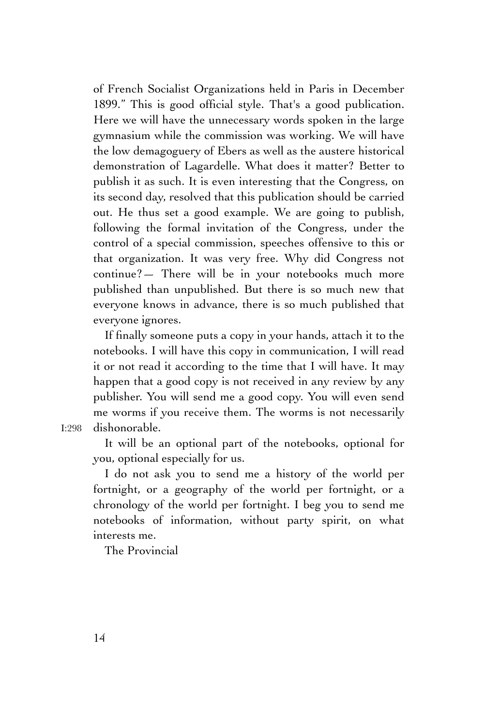of French Socialist Organizations held in Paris in December 1899." This is good official style. That's a good publication. Here we will have the unnecessary words spoken in the large gymnasium while the commission was working. We will have the low demagoguery of Ebers as well as the austere historical demonstration of Lagardelle. What does it matter? Better to publish it as such. It is even interesting that the Congress, on its second day, resolved that this publication should be carried out. He thus set a good example. We are going to publish, following the formal invitation of the Congress, under the control of a special commission, speeches offensive to this or that organization. It was very free. Why did Congress not continue?— There will be in your notebooks much more published than unpublished. But there is so much new that everyone knows in advance, there is so much published that everyone ignores.

If finally someone puts a copy in your hands, attach it to the notebooks. I will have this copy in communication, I will read it or not read it according to the time that I will have. It may happen that a good copy is not received in any review by any publisher. You will send me a good copy. You will even send me worms if you receive them. The worms is not necessarily dishonorable.

I:298

It will be an optional part of the notebooks, optional for you, optional especially for us.

I do not ask you to send me a history of the world per fortnight, or a geography of the world per fortnight, or a chronology of the world per fortnight. I beg you to send me notebooks of information, without party spirit, on what interests me.

The Provincial